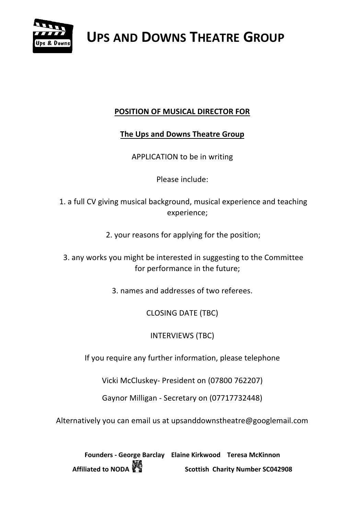

#### **POSITION OF MUSICAL DIRECTOR FOR**

#### **The Ups and Downs Theatre Group**

APPLICATION to be in writing

Please include:

1. a full CV giving musical background, musical experience and teaching experience;

2. your reasons for applying for the position;

3. any works you might be interested in suggesting to the Committee for performance in the future;

3. names and addresses of two referees.

CLOSING DATE (TBC)

INTERVIEWS (TBC)

If you require any further information, please telephone

Vicki McCluskey- President on (07800 762207)

Gaynor Milligan - Secretary on (07717732448)

Alternatively you can email us at upsanddownstheatre@googlemail.com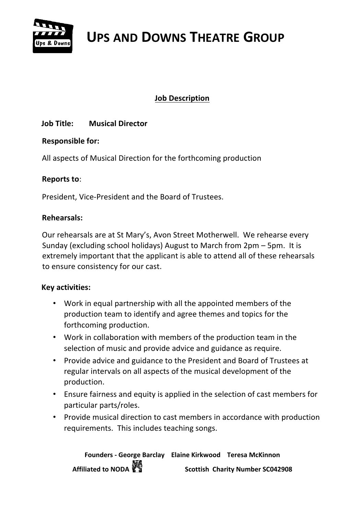

#### **Job Description**

#### **Job Title: Musical Director**

#### **Responsible for:**

All aspects of Musical Direction for the forthcoming production

#### **Reports to**:

President, Vice-President and the Board of Trustees.

#### **Rehearsals:**

Our rehearsals are at St Mary's, Avon Street Motherwell. We rehearse every Sunday (excluding school holidays) August to March from 2pm – 5pm. It is extremely important that the applicant is able to attend all of these rehearsals to ensure consistency for our cast.

#### **Key activities:**

- Work in equal partnership with all the appointed members of the production team to identify and agree themes and topics for the forthcoming production.
- Work in collaboration with members of the production team in the selection of music and provide advice and guidance as require.
- Provide advice and guidance to the President and Board of Trustees at regular intervals on all aspects of the musical development of the production.
- Ensure fairness and equity is applied in the selection of cast members for particular parts/roles.
- Provide musical direction to cast members in accordance with production requirements. This includes teaching songs.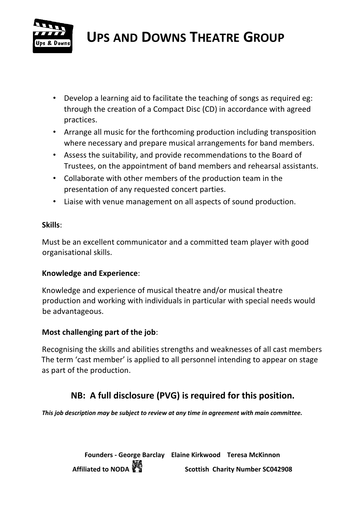

- Develop a learning aid to facilitate the teaching of songs as required eg: through the creation of a Compact Disc (CD) in accordance with agreed practices.
- Arrange all music for the forthcoming production including transposition where necessary and prepare musical arrangements for band members.
- Assess the suitability, and provide recommendations to the Board of Trustees, on the appointment of band members and rehearsal assistants.
- Collaborate with other members of the production team in the presentation of any requested concert parties.
- Liaise with venue management on all aspects of sound production.

#### **Skills**:

Must be an excellent communicator and a committed team player with good organisational skills.

#### **Knowledge and Experience**:

Knowledge and experience of musical theatre and/or musical theatre production and working with individuals in particular with special needs would be advantageous.

#### **Most challenging part of the job**:

Recognising the skills and abilities strengths and weaknesses of all cast members The term 'cast member' is applied to all personnel intending to appear on stage as part of the production.

### **NB: A full disclosure (PVG) is required for this position.**

*This job description may be subject to review at any time in agreement with main committee.*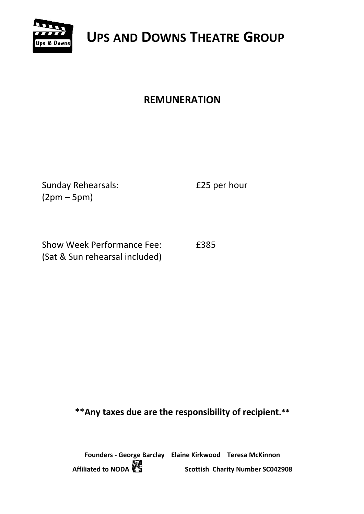

## **REMUNERATION**

Sunday Rehearsals: **E25 per hour** (2pm – 5pm)

Show Week Performance Fee: £385 (Sat & Sun rehearsal included)

**\*\*Any taxes due are the responsibility of recipient.\*\***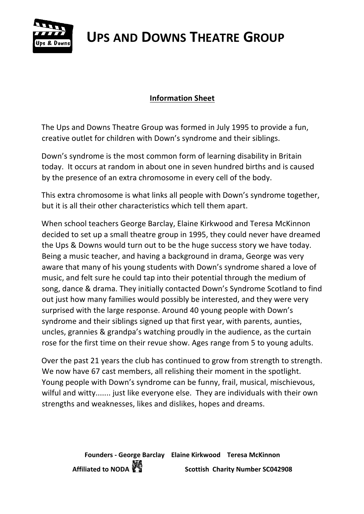

#### **Information Sheet**

The Ups and Downs Theatre Group was formed in July 1995 to provide a fun, creative outlet for children with Down's syndrome and their siblings.

Down's syndrome is the most common form of learning disability in Britain today. It occurs at random in about one in seven hundred births and is caused by the presence of an extra chromosome in every cell of the body.

This extra chromosome is what links all people with Down's syndrome together, but it is all their other characteristics which tell them apart.

When school teachers George Barclay, Elaine Kirkwood and Teresa McKinnon decided to set up a small theatre group in 1995, they could never have dreamed the Ups & Downs would turn out to be the huge success story we have today. Being a music teacher, and having a background in drama, George was very aware that many of his young students with Down's syndrome shared a love of music, and felt sure he could tap into their potential through the medium of song, dance & drama. They initially contacted Down's Syndrome Scotland to find out just how many families would possibly be interested, and they were very surprised with the large response. Around 40 young people with Down's syndrome and their siblings signed up that first year, with parents, aunties, uncles, grannies & grandpa's watching proudly in the audience, as the curtain rose for the first time on their revue show. Ages range from 5 to young adults.

Over the past 21 years the club has continued to grow from strength to strength. We now have 67 cast members, all relishing their moment in the spotlight. Young people with Down's syndrome can be funny, frail, musical, mischievous, wilful and witty....... just like everyone else. They are individuals with their own strengths and weaknesses, likes and dislikes, hopes and dreams.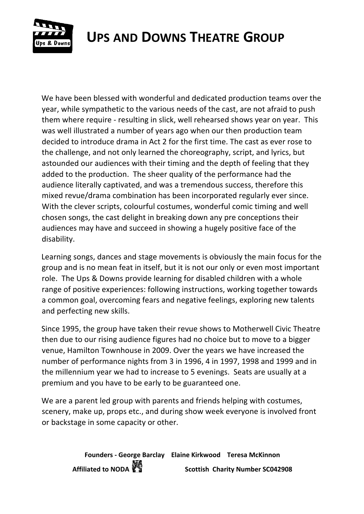

We have been blessed with wonderful and dedicated production teams over the year, while sympathetic to the various needs of the cast, are not afraid to push them where require - resulting in slick, well rehearsed shows year on year. This was well illustrated a number of years ago when our then production team decided to introduce drama in Act 2 for the first time. The cast as ever rose to the challenge, and not only learned the choreography, script, and lyrics, but astounded our audiences with their timing and the depth of feeling that they added to the production. The sheer quality of the performance had the audience literally captivated, and was a tremendous success, therefore this mixed revue/drama combination has been incorporated regularly ever since. With the clever scripts, colourful costumes, wonderful comic timing and well chosen songs, the cast delight in breaking down any pre conceptions their audiences may have and succeed in showing a hugely positive face of the disability.

Learning songs, dances and stage movements is obviously the main focus for the group and is no mean feat in itself, but it is not our only or even most important role. The Ups & Downs provide learning for disabled children with a whole range of positive experiences: following instructions, working together towards a common goal, overcoming fears and negative feelings, exploring new talents and perfecting new skills.

Since 1995, the group have taken their revue shows to Motherwell Civic Theatre then due to our rising audience figures had no choice but to move to a bigger venue, Hamilton Townhouse in 2009. Over the years we have increased the number of performance nights from 3 in 1996, 4 in 1997, 1998 and 1999 and in the millennium year we had to increase to 5 evenings. Seats are usually at a premium and you have to be early to be guaranteed one.

We are a parent led group with parents and friends helping with costumes, scenery, make up, props etc., and during show week everyone is involved front or backstage in some capacity or other.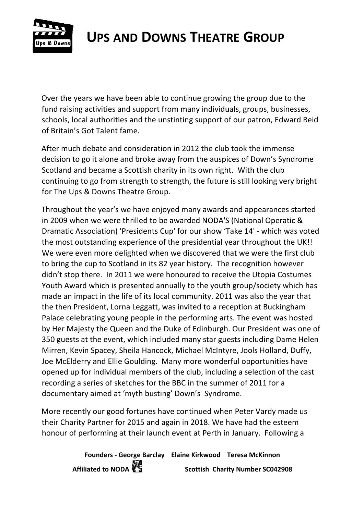

Over the years we have been able to continue growing the group due to the fund raising activities and support from many individuals, groups, businesses, schools, local authorities and the unstinting support of our patron, Edward Reid of Britain's Got Talent fame.

After much debate and consideration in 2012 the club took the immense decision to go it alone and broke away from the auspices of Down's Syndrome Scotland and became a Scottish charity in its own right. With the club continuing to go from strength to strength, the future is still looking very bright for The Ups & Downs Theatre Group.

Throughout the year's we have enjoyed many awards and appearances started in 2009 when we were thrilled to be awarded NODA'S (National Operatic & Dramatic Association) 'Presidents Cup' for our show 'Take 14' - which was voted the most outstanding experience of the presidential year throughout the UK!! We were even more delighted when we discovered that we were the first club to bring the cup to Scotland in its 82 year history. The recognition however didn't stop there. In 2011 we were honoured to receive the Utopia Costumes Youth Award which is presented annually to the youth group/society which has made an impact in the life of its local community. 2011 was also the year that the then President, Lorna Leggatt, was invited to a reception at Buckingham Palace celebrating young people in the performing arts. The event was hosted by Her Majesty the Queen and the Duke of Edinburgh. Our President was one of 350 guests at the event, which included many star guests including Dame Helen Mirren, Kevin Spacey, Sheila Hancock, Michael McIntyre, Jools Holland, Duffy, Joe McElderry and Ellie Goulding. Many more wonderful opportunities have opened up for individual members of the club, including a selection of the cast recording a series of sketches for the BBC in the summer of 2011 for a documentary aimed at 'myth busting' Down's Syndrome.

More recently our good fortunes have continued when Peter Vardy made us their Charity Partner for 2015 and again in 2018. We have had the esteem honour of performing at their launch event at Perth in January. Following a